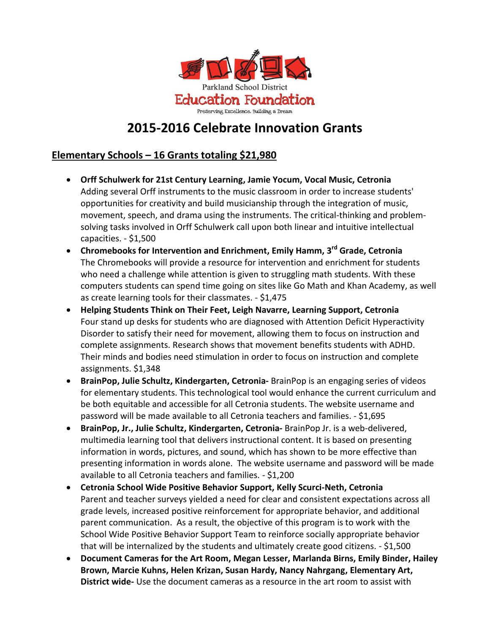

# **2015-2016 Celebrate Innovation Grants**

## **Elementary Schools – 16 Grants totaling \$21,980**

- **Orff Schulwerk for 21st Century Learning, Jamie Yocum, Vocal Music, Cetronia** Adding several Orff instruments to the music classroom in order to increase students' opportunities for creativity and build musicianship through the integration of music, movement, speech, and drama using the instruments. The critical-thinking and problemsolving tasks involved in Orff Schulwerk call upon both linear and intuitive intellectual capacities. - \$1,500
- **Chromebooks for Intervention and Enrichment, Emily Hamm, 3 rd Grade, Cetronia** The Chromebooks will provide a resource for intervention and enrichment for students who need a challenge while attention is given to struggling math students. With these computers students can spend time going on sites like Go Math and Khan Academy, as well as create learning tools for their classmates. - \$1,475
- **Helping Students Think on Their Feet, Leigh Navarre, Learning Support, Cetronia** Four stand up desks for students who are diagnosed with Attention Deficit Hyperactivity Disorder to satisfy their need for movement, allowing them to focus on instruction and complete assignments. Research shows that movement benefits students with ADHD. Their minds and bodies need stimulation in order to focus on instruction and complete assignments. \$1,348
- **BrainPop, Julie Schultz, Kindergarten, Cetronia-** BrainPop is an engaging series of videos for elementary students. This technological tool would enhance the current curriculum and be both equitable and accessible for all Cetronia students. The website username and password will be made available to all Cetronia teachers and families. - \$1,695
- **BrainPop, Jr., Julie Schultz, Kindergarten, Cetronia-** BrainPop Jr. is a web-delivered, multimedia learning tool that delivers instructional content. It is based on presenting information in words, pictures, and sound, which has shown to be more effective than presenting information in words alone. The website username and password will be made available to all Cetronia teachers and families. - \$1,200
- **Cetronia School Wide Positive Behavior Support, Kelly Scurci-Neth, Cetronia** Parent and teacher surveys yielded a need for clear and consistent expectations across all grade levels, increased positive reinforcement for appropriate behavior, and additional parent communication. As a result, the objective of this program is to work with the School Wide Positive Behavior Support Team to reinforce socially appropriate behavior that will be internalized by the students and ultimately create good citizens. - \$1,500
- **Document Cameras for the Art Room, Megan Lesser, Marlanda Birns, Emily Binder, Hailey Brown, Marcie Kuhns, Helen Krizan, Susan Hardy, Nancy Nahrgang, Elementary Art, District wide-** Use the document cameras as a resource in the art room to assist with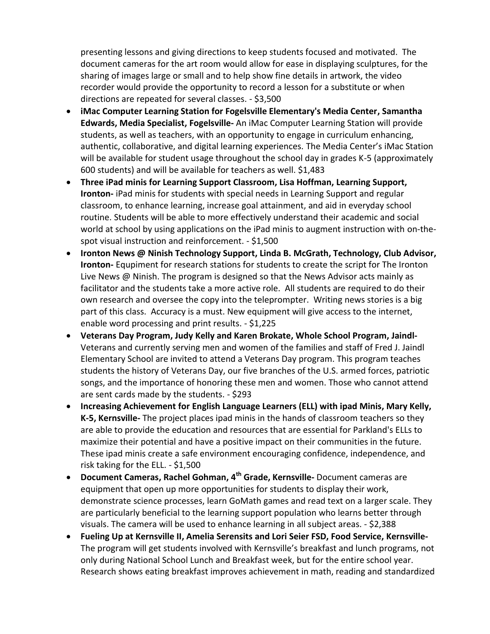presenting lessons and giving directions to keep students focused and motivated. The document cameras for the art room would allow for ease in displaying sculptures, for the sharing of images large or small and to help show fine details in artwork, the video recorder would provide the opportunity to record a lesson for a substitute or when directions are repeated for several classes. - \$3,500

- **iMac Computer Learning Station for Fogelsville Elementary's Media Center, Samantha Edwards, Media Specialist, Fogelsville-** An iMac Computer Learning Station will provide students, as well as teachers, with an opportunity to engage in curriculum enhancing, authentic, collaborative, and digital learning experiences. The Media Center's iMac Station will be available for student usage throughout the school day in grades K-5 (approximately 600 students) and will be available for teachers as well. \$1,483
- **Three iPad minis for Learning Support Classroom, Lisa Hoffman, Learning Support, Ironton-** iPad minis for students with special needs in Learning Support and regular classroom, to enhance learning, increase goal attainment, and aid in everyday school routine. Students will be able to more effectively understand their academic and social world at school by using applications on the iPad minis to augment instruction with on-thespot visual instruction and reinforcement. - \$1,500
- **Ironton News @ Ninish Technology Support, Linda B. McGrath, Technology, Club Advisor, Ironton-** Equpiment for research stations for students to create the script for The Ironton Live News @ Ninish. The program is designed so that the News Advisor acts mainly as facilitator and the students take a more active role. All students are required to do their own research and oversee the copy into the teleprompter. Writing news stories is a big part of this class. Accuracy is a must. New equipment will give access to the internet, enable word processing and print results. - \$1,225
- **Veterans Day Program, Judy Kelly and Karen Brokate, Whole School Program, Jaindl-**Veterans and currently serving men and women of the families and staff of Fred J. Jaindl Elementary School are invited to attend a Veterans Day program. This program teaches students the history of Veterans Day, our five branches of the U.S. armed forces, patriotic songs, and the importance of honoring these men and women. Those who cannot attend are sent cards made by the students. - \$293
- **Increasing Achievement for English Language Learners (ELL) with ipad Minis, Mary Kelly, K-5, Kernsville-** The project places ipad minis in the hands of classroom teachers so they are able to provide the education and resources that are essential for Parkland's ELLs to maximize their potential and have a positive impact on their communities in the future. These ipad minis create a safe environment encouraging confidence, independence, and risk taking for the ELL. - \$1,500
- **Document Cameras, Rachel Gohman, 4 th Grade, Kernsville-** Document cameras are equipment that open up more opportunities for students to display their work, demonstrate science processes, learn GoMath games and read text on a larger scale. They are particularly beneficial to the learning support population who learns better through visuals. The camera will be used to enhance learning in all subject areas. - \$2,388
- **Fueling Up at Kernsville II, Amelia Serensits and Lori Seier FSD, Food Service, Kernsville-**The program will get students involved with Kernsville's breakfast and lunch programs, not only during National School Lunch and Breakfast week, but for the entire school year. Research shows eating breakfast improves achievement in math, reading and standardized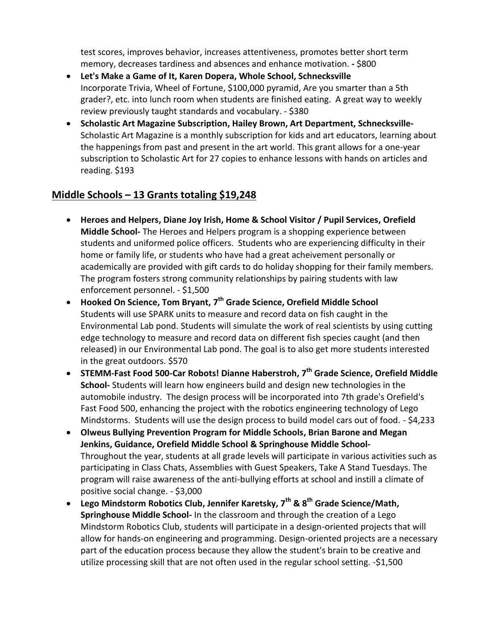test scores, improves behavior, increases attentiveness, promotes better short term memory, decreases tardiness and absences and enhance motivation. **-** \$800

- **Let's Make a Game of It, Karen Dopera, Whole School, Schnecksville** Incorporate Trivia, Wheel of Fortune, \$100,000 pyramid, Are you smarter than a 5th grader?, etc. into lunch room when students are finished eating. A great way to weekly review previously taught standards and vocabulary. - \$380
- **Scholastic Art Magazine Subscription, Hailey Brown, Art Department, Schnecksville-**Scholastic Art Magazine is a monthly subscription for kids and art educators, learning about the happenings from past and present in the art world. This grant allows for a one-year subscription to Scholastic Art for 27 copies to enhance lessons with hands on articles and reading. \$193

#### **Middle Schools – 13 Grants totaling \$19,248**

- **Heroes and Helpers, Diane Joy Irish, Home & School Visitor / Pupil Services, Orefield Middle School-** The Heroes and Helpers program is a shopping experience between students and uniformed police officers. Students who are experiencing difficulty in their home or family life, or students who have had a great acheivement personally or academically are provided with gift cards to do holiday shopping for their family members. The program fosters strong community relationships by pairing students with law enforcement personnel. - \$1,500
- **Hooked On Science, Tom Bryant, 7 th Grade Science, Orefield Middle School** Students will use SPARK units to measure and record data on fish caught in the Environmental Lab pond. Students will simulate the work of real scientists by using cutting edge technology to measure and record data on different fish species caught (and then released) in our Environmental Lab pond. The goal is to also get more students interested in the great outdoors. \$570
- **STEMM-Fast Food 500-Car Robots! Dianne Haberstroh, 7 th Grade Science, Orefield Middle School-** Students will learn how engineers build and design new technologies in the automobile industry. The design process will be incorporated into 7th grade's Orefield's Fast Food 500, enhancing the project with the robotics engineering technology of Lego Mindstorms. Students will use the design process to build model cars out of food. - \$4,233
- **Olweus Bullying Prevention Program for Middle Schools, Brian Barone and Megan Jenkins, Guidance, Orefield Middle School & Springhouse Middle School-**Throughout the year, students at all grade levels will participate in various activities such as participating in Class Chats, Assemblies with Guest Speakers, Take A Stand Tuesdays. The program will raise awareness of the anti-bullying efforts at school and instill a climate of positive social change. - \$3,000
- **Lego Mindstorm Robotics Club, Jennifer Karetsky, 7 th & 8th Grade Science/Math, Springhouse Middle School-** In the classroom and through the creation of a Lego Mindstorm Robotics Club, students will participate in a design-oriented projects that will allow for hands-on engineering and programming. Design-oriented projects are a necessary part of the education process because they allow the student's brain to be creative and utilize processing skill that are not often used in the regular school setting. -\$1,500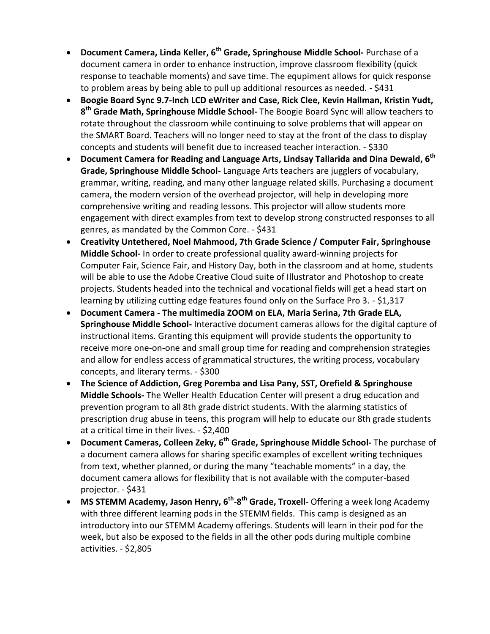- **Document Camera, Linda Keller, 6<sup>th</sup> Grade, Springhouse Middle School- Purchase of a** document camera in order to enhance instruction, improve classroom flexibility (quick response to teachable moments) and save time. The equpiment allows for quick response to problem areas by being able to pull up additional resources as needed. - \$431
- **Boogie Board Sync 9.7-Inch LCD eWriter and Case, Rick Clee, Kevin Hallman, Kristin Yudt, 8 th Grade Math, Springhouse Middle School-** The Boogie Board Sync will allow teachers to rotate throughout the classroom while continuing to solve problems that will appear on the SMART Board. Teachers will no longer need to stay at the front of the class to display concepts and students will benefit due to increased teacher interaction. - \$330
- **Document Camera for Reading and Language Arts, Lindsay Tallarida and Dina Dewald, 6 th Grade, Springhouse Middle School-** Language Arts teachers are jugglers of vocabulary, grammar, writing, reading, and many other language related skills. Purchasing a document camera, the modern version of the overhead projector, will help in developing more comprehensive writing and reading lessons. This projector will allow students more engagement with direct examples from text to develop strong constructed responses to all genres, as mandated by the Common Core. - \$431
- **Creativity Untethered, Noel Mahmood, 7th Grade Science / Computer Fair, Springhouse Middle School-** In order to create professional quality award-winning projects for Computer Fair, Science Fair, and History Day, both in the classroom and at home, students will be able to use the Adobe Creative Cloud suite of Illustrator and Photoshop to create projects. Students headed into the technical and vocational fields will get a head start on learning by utilizing cutting edge features found only on the Surface Pro 3. - \$1,317
- **Document Camera - The multimedia ZOOM on ELA, Maria Serina, 7th Grade ELA, Springhouse Middle School-** Interactive document cameras allows for the digital capture of instructional items. Granting this equipment will provide students the opportunity to receive more one-on-one and small group time for reading and comprehension strategies and allow for endless access of grammatical structures, the writing process, vocabulary concepts, and literary terms. - \$300
- **The Science of Addiction, Greg Poremba and Lisa Pany, SST, Orefield & Springhouse Middle Schools-** The Weller Health Education Center will present a drug education and prevention program to all 8th grade district students. With the alarming statistics of prescription drug abuse in teens, this program will help to educate our 8th grade students at a critical time in their lives. - \$2,400
- **Document Cameras, Colleen Zeky, 6<sup>th</sup> Grade, Springhouse Middle School-** The purchase of a document camera allows for sharing specific examples of excellent writing techniques from text, whether planned, or during the many "teachable moments" in a day, the document camera allows for flexibility that is not available with the computer-based projector. - \$431
- **MS STEMM Academy, Jason Henry, 6<sup>th</sup>-8<sup>th</sup> Grade, Troxell- Offering a week long Academy** with three different learning pods in the STEMM fields. This camp is designed as an introductory into our STEMM Academy offerings. Students will learn in their pod for the week, but also be exposed to the fields in all the other pods during multiple combine activities. - \$2,805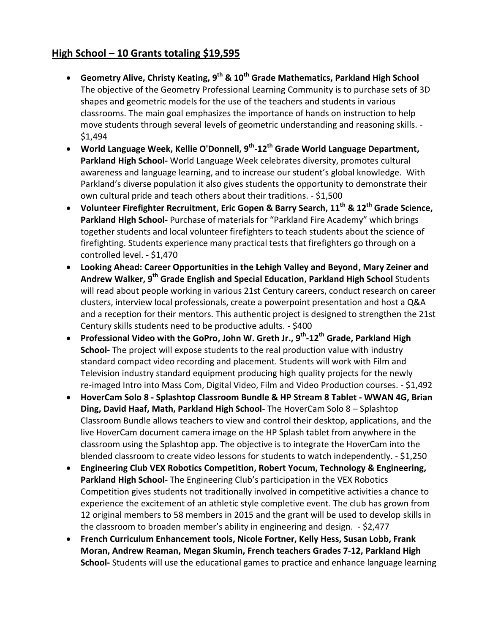### **High School – 10 Grants totaling \$19,595**

- **Geometry Alive, Christy Keating, 9 th & 10th Grade Mathematics, Parkland High School** The objective of the Geometry Professional Learning Community is to purchase sets of 3D shapes and geometric models for the use of the teachers and students in various classrooms. The main goal emphasizes the importance of hands on instruction to help move students through several levels of geometric understanding and reasoning skills. - \$1,494
- **World Language Week, Kellie O'Donnell, 9 th -12th Grade World Language Department, Parkland High School-** World Language Week celebrates diversity, promotes cultural awareness and language learning, and to increase our student's global knowledge. With Parkland's diverse population it also gives students the opportunity to demonstrate their own cultural pride and teach others about their traditions. - \$1,500
- **Volunteer Firefighter Recruitment, Eric Gopen & Barry Search, 11th & 12th Grade Science, Parkland High School-** Purchase of materials for "Parkland Fire Academy" which brings together students and local volunteer firefighters to teach students about the science of firefighting. Students experience many practical tests that firefighters go through on a controlled level. - \$1,470
- **Looking Ahead: Career Opportunities in the Lehigh Valley and Beyond, Mary Zeiner and Andrew Walker, 9 th Grade English and Special Education, Parkland High School** Students will read about people working in various 21st Century careers, conduct research on career clusters, interview local professionals, create a powerpoint presentation and host a Q&A and a reception for their mentors. This authentic project is designed to strengthen the 21st Century skills students need to be productive adults. - \$400
- **Professional Video with the GoPro, John W. Greth Jr., 9 th -12th Grade, Parkland High School-** The project will expose students to the real production value with industry standard compact video recording and placement. Students will work with Film and Television industry standard equipment producing high quality projects for the newly re-imaged Intro into Mass Com, Digital Video, Film and Video Production courses. - \$1,492
- **HoverCam Solo 8 - Splashtop Classroom Bundle & HP Stream 8 Tablet - WWAN 4G, Brian Ding, David Haaf, Math, Parkland High School-** The HoverCam Solo 8 – Splashtop Classroom Bundle allows teachers to view and control their desktop, applications, and the live HoverCam document camera image on the HP Splash tablet from anywhere in the classroom using the Splashtop app. The objective is to integrate the HoverCam into the blended classroom to create video lessons for students to watch independently. - \$1,250
- **Engineering Club VEX Robotics Competition, Robert Yocum, Technology & Engineering, Parkland High School-** The Engineering Club's participation in the VEX Robotics Competition gives students not traditionally involved in competitive activities a chance to experience the excitement of an athletic style completive event. The club has grown from 12 original members to 58 members in 2015 and the grant will be used to develop skills in the classroom to broaden member's ability in engineering and design. - \$2,477
- **French Curriculum Enhancement tools, Nicole Fortner, Kelly Hess, Susan Lobb, Frank Moran, Andrew Reaman, Megan Skumin, French teachers Grades 7-12, Parkland High School-** Students will use the educational games to practice and enhance language learning